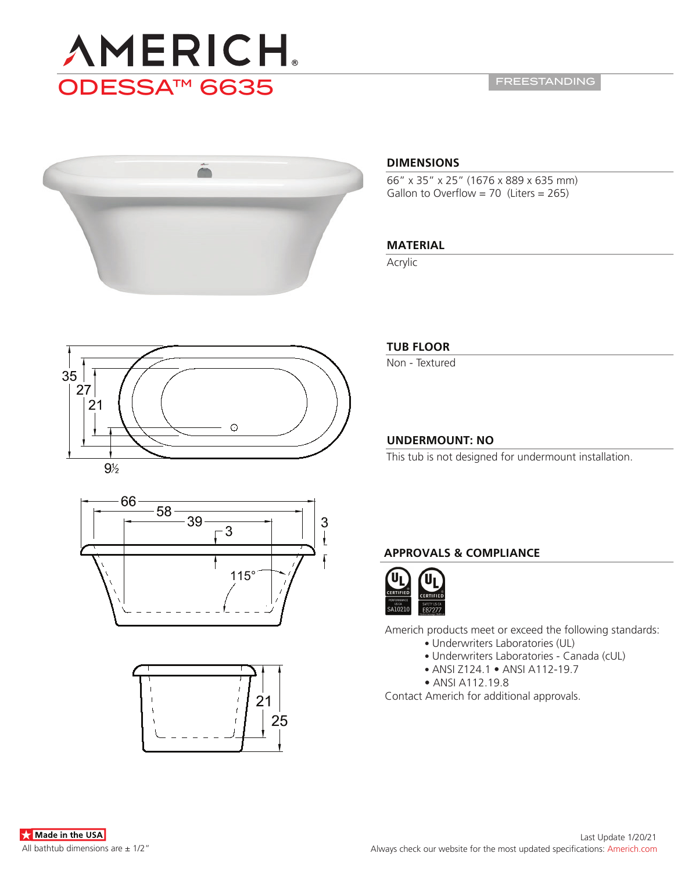

FREESTANDING



### **DIMENSIONS**

66" x 35" x 25" (1676 x 889 x 635 mm) Gallon to Overflow =  $70$  (Liters =  $265$ )

# **MATERIAL**

Acrylic







# **TUB FLOOR**

Non - Textured

# **UNDERMOUNT: NO**

This tub is not designed for undermount installation.

# **APPROVALS & COMPLIANCE**



Americh products meet or exceed the following standards:

- Underwriters Laboratories (UL)
- Underwriters Laboratories Canada (cUL)
- ANSI Z124.1 ANSI A112-19.7
- ANSI A112.19.8

Contact Americh for additional approvals.